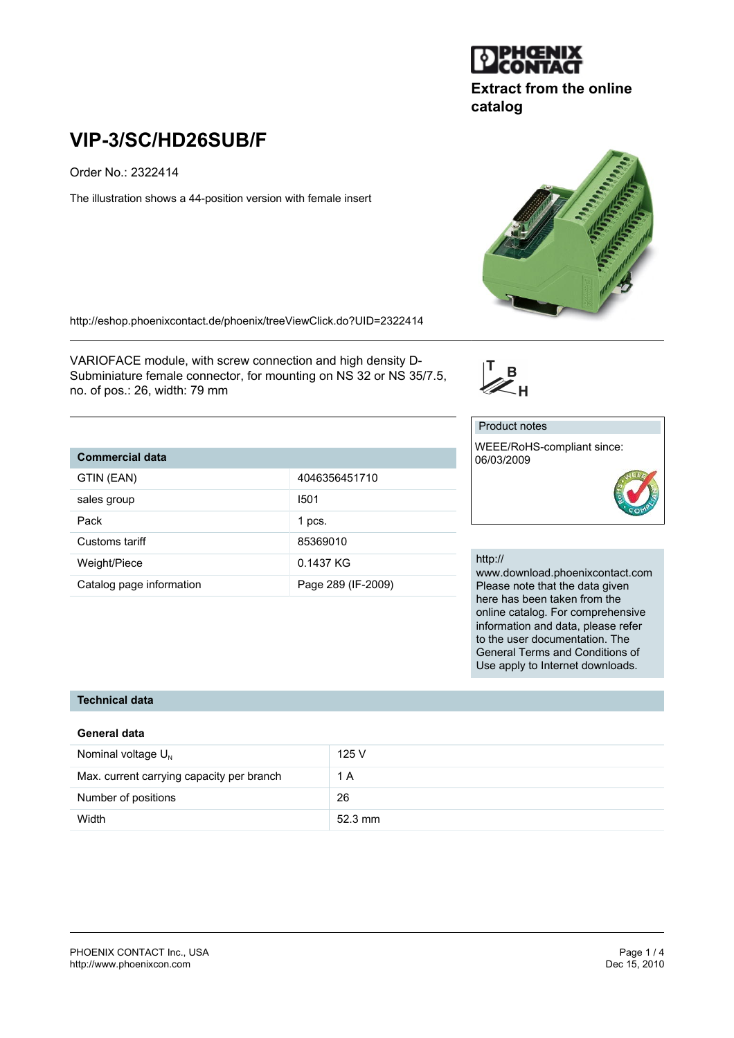

## **Extract from the online catalog**

# **VIP-3/SC/HD26SUB/F**

Order No.: 2322414

The illustration shows a 44-position version with female insert

<http://eshop.phoenixcontact.de/phoenix/treeViewClick.do?UID=2322414>

VARIOFACE module, with screw connection and high density D-Subminiature female connector, for mounting on NS 32 or NS 35/7.5, no. of pos.: 26, width: 79 mm

## **Commercial data**

| .                        |                    |
|--------------------------|--------------------|
| GTIN (EAN)               | 4046356451710      |
| sales group              | 1501               |
| Pack                     | 1 pcs.             |
| Customs tariff           | 85369010           |
| Weight/Piece             | 0.1437 KG          |
| Catalog page information | Page 289 (IF-2009) |



#### Product notes

WEEE/RoHS-compliant since: 06/03/2009



#### http://

www.download.phoenixcontact.com Please note that the data given here has been taken from the online catalog. For comprehensive information and data, please refer to the user documentation. The General Terms and Conditions of Use apply to Internet downloads.

#### **Technical data**

#### **General data**

| Nominal voltage $U_N$                     | 125 V             |
|-------------------------------------------|-------------------|
| Max. current carrying capacity per branch | 1 A               |
| Number of positions                       | 26                |
| Width                                     | $52.3 \text{ mm}$ |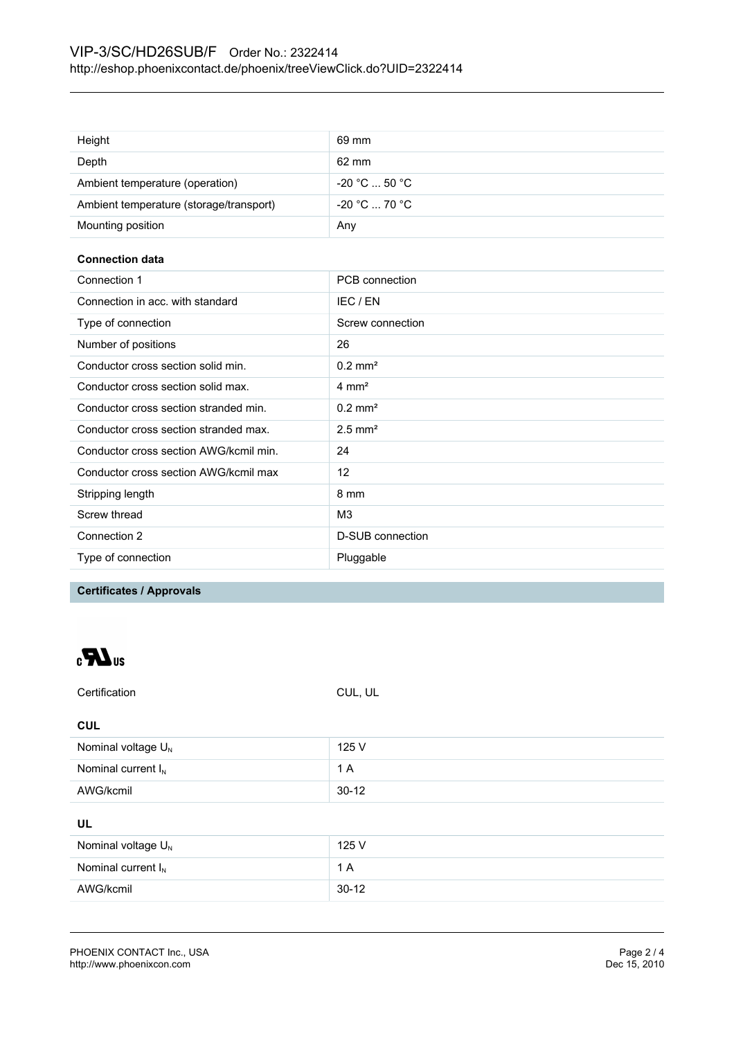| Height                                  | 69 mm                 |  |
|-----------------------------------------|-----------------------|--|
| Depth                                   | 62 mm                 |  |
| Ambient temperature (operation)         | -20 °C  50 °C         |  |
| Ambient temperature (storage/transport) | $-20 °C  70 °C$       |  |
| Mounting position                       | Any                   |  |
| <b>Connection data</b>                  |                       |  |
| Connection 1                            | PCB connection        |  |
| Connection in acc. with standard        | IEC / EN              |  |
| Type of connection                      | Screw connection      |  |
| Number of positions                     | 26                    |  |
| Conductor cross section solid min.      | $0.2$ mm <sup>2</sup> |  |
| Conductor cross section solid max.      | $4 \text{ mm}^2$      |  |
| Conductor cross section stranded min.   | $0.2$ mm <sup>2</sup> |  |
| Conductor cross section stranded max.   | $2.5$ mm <sup>2</sup> |  |
| Conductor cross section AWG/kcmil min.  | 24                    |  |
| Conductor cross section AWG/kcmil max   | 12                    |  |
| Stripping length                        | 8 mm                  |  |
| Screw thread                            | M <sub>3</sub>        |  |
| Connection 2                            | D-SUB connection      |  |
| Type of connection                      | Pluggable             |  |

**Certificates / Approvals**

 $\epsilon$ **N**us

| Certification         | CUL, UL   |  |
|-----------------------|-----------|--|
| <b>CUL</b>            |           |  |
| Nominal voltage $U_N$ | 125 V     |  |
| Nominal current $I_N$ | 1 A       |  |
| AWG/kcmil             | $30 - 12$ |  |
| UL                    |           |  |
| Nominal voltage $U_N$ | 125 V     |  |
| Nominal current $I_N$ | 1 A       |  |
| AWG/kcmil             | $30 - 12$ |  |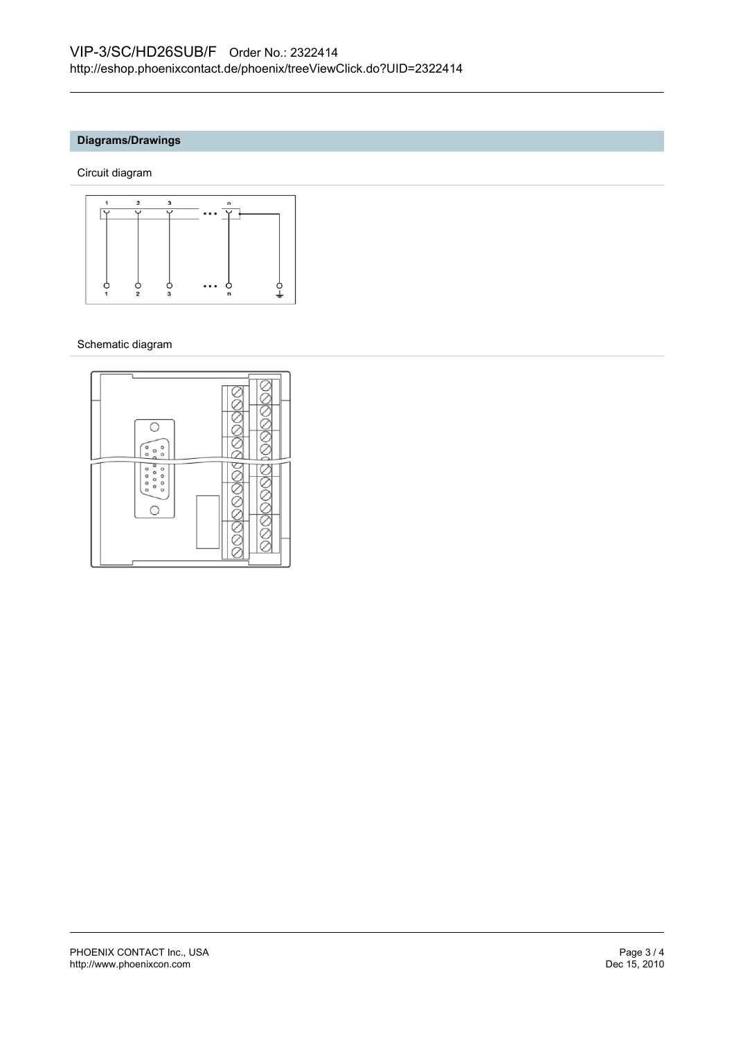### **Diagrams/Drawings**

Circuit diagram



#### Schematic diagram